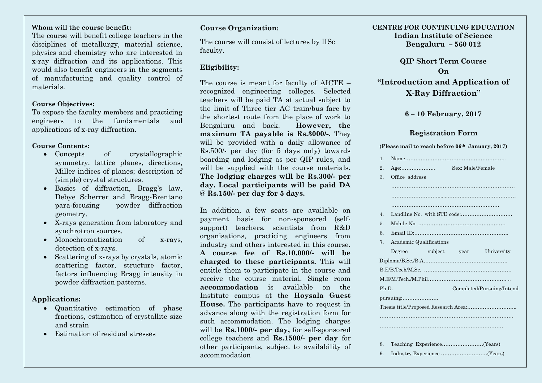## **Whom will the course benefit:**

The course will benefit college teachers in the disciplines of metallurgy, material science, physics and chemistry who are interested in x-ray diffraction and its applications. This would also benefit engineers in the segments of manufacturing and quality control of materials.

#### **Course Objectives:**

To expose the faculty members and practicing engineers to the fundamentals and applications of x-ray diffraction.

#### **Course Contents:**

- Concepts of crystallographic symmetry, lattice planes, directions, Miller indices of planes; description of (simple) crystal structures.
- Basics of diffraction, Bragg's law, Debye Scherrer and Bragg-Brentano para-focusing powder diffraction geometry.
- X-rays generation from laboratory and synchrotron sources.
- Monochromatization of x-rays, detection of x-rays.
- Scattering of x-rays by crystals, atomic scattering factor, structure factor, factors influencing Bragg intensity in powder diffraction patterns.

#### **Applications:**

- Quantitative estimation of phase fractions, estimation of crystallite size and strain
- Estimation of residual stresses

#### **Course Organization:**

The course will consist of lectures by IISc faculty.

## **Eligibility:**

The course is meant for faculty of AICTE – recognized engineering colleges. Selected teachers will be paid TA at actual subject to the limit of Three tier AC train/bus fare by the shortest route from the place of work to Bengaluru and back. **However, the maximum TA payable is Rs.3000/-.** They will be provided with a daily allowance of Rs.500/- per day (for 5 days only) towards boarding and lodging as per QIP rules, and will be supplied with the course materials. **The lodging charges will be Rs.300/- per day. Local participants will be paid DA @ Rs.150/- per day for 5 days.** 

In addition, a few seats are available on payment basis for non-sponsored (selfsupport) teachers, scientists from R&D organisations, practicing engineers from industry and others interested in this course. **A course fee of Rs.10,000/- will be charged to these participants.** This will entitle them to participate in the course and receive the course material. Single room **accommodation** is available on the Institute campus at the **Hoysala Guest House.** The participants have to request in advance along with the registration form for such accommodation. The lodging charges will be **Rs.1000/- per day,** for self-sponsored college teachers and **Rs.1500/- per day** for other participants, subject to availability of accommodation

#### **CENTRE FOR CONTINUING EDUCATION Indian Institute of Science Bengaluru – 560 012**

**QIP Short Term Course On "Introduction and Application of X-Ray Diffraction"**

## **6 – 10 February, 2017**

#### **Registration Form**

#### **(Please mail to reach before 06th January, 2017)**

| $\mathbf{1}$                  |                |  |                           |                         |  |
|-------------------------------|----------------|--|---------------------------|-------------------------|--|
| 2.                            |                |  | Sex: Male/Female          |                         |  |
| $\Omega$ .                    | Office address |  |                           |                         |  |
|                               |                |  |                           |                         |  |
|                               |                |  |                           |                         |  |
|                               |                |  |                           |                         |  |
| $\overline{4}$                |                |  |                           |                         |  |
| $\overline{5}$ .              |                |  |                           |                         |  |
| 6.                            |                |  |                           |                         |  |
| Academic Qualifications<br>7. |                |  |                           |                         |  |
|                               | Degree         |  |                           | subject year University |  |
|                               |                |  |                           |                         |  |
|                               |                |  |                           |                         |  |
|                               |                |  |                           |                         |  |
| Ph.D.                         |                |  | Completed/Pursuing/Intend |                         |  |
|                               |                |  |                           |                         |  |
|                               |                |  |                           |                         |  |
|                               |                |  |                           |                         |  |
|                               |                |  |                           |                         |  |
|                               |                |  |                           |                         |  |
| 8.                            |                |  |                           |                         |  |
| 9.                            |                |  |                           |                         |  |